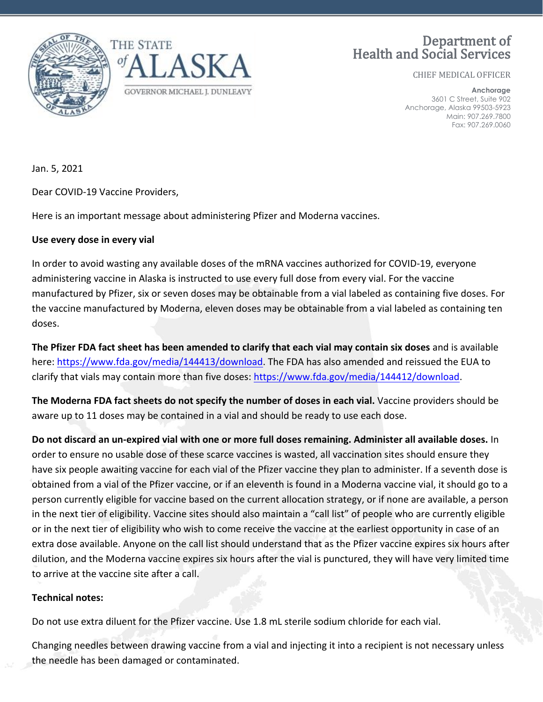

## Department of Health and Social Services

CHIEF MEDICAL OFFICER

**Anchorage** 3601 C Street, Suite 902 Anchorage, Alaska 99503-5923 Main: 907.269.7800 Fax: 907.269.0060

Jan. 5, 2021

Dear COVID-19 Vaccine Providers,

Here is an important message about administering Pfizer and Moderna vaccines.

## **Use every dose in every vial**

In order to avoid wasting any available doses of the mRNA vaccines authorized for COVID-19, everyone administering vaccine in Alaska is instructed to use every full dose from every vial. For the vaccine manufactured by Pfizer, six or seven doses may be obtainable from a vial labeled as containing five doses. For the vaccine manufactured by Moderna, eleven doses may be obtainable from a vial labeled as containing ten doses.

**The Pfizer FDA fact sheet has been amended to clarify that each vial may contain six doses** and is available here: [https://www.fda.gov/media/144413/download.](https://www.fda.gov/media/144413/download) The FDA has also amended and reissued the EUA to clarify that vials may contain more than five doses: [https://www.fda.gov/media/144412/download.](https://www.fda.gov/media/144412/download)

**The Moderna FDA fact sheets do not specify the number of doses in each vial.** Vaccine providers should be aware up to 11 doses may be contained in a vial and should be ready to use each dose.

**Do not discard an un-expired vial with one or more full doses remaining. Administer all available doses.** In order to ensure no usable dose of these scarce vaccines is wasted, all vaccination sites should ensure they have six people awaiting vaccine for each vial of the Pfizer vaccine they plan to administer. If a seventh dose is obtained from a vial of the Pfizer vaccine, or if an eleventh is found in a Moderna vaccine vial, it should go to a person currently eligible for vaccine based on the current allocation strategy, or if none are available, a person in the next tier of eligibility. Vaccine sites should also maintain a "call list" of people who are currently eligible or in the next tier of eligibility who wish to come receive the vaccine at the earliest opportunity in case of an extra dose available. Anyone on the call list should understand that as the Pfizer vaccine expires six hours after dilution, and the Moderna vaccine expires six hours after the vial is punctured, they will have very limited time to arrive at the vaccine site after a call.

## **Technical notes:**

Do not use extra diluent for the Pfizer vaccine. Use 1.8 mL sterile sodium chloride for each vial.

Changing needles between drawing vaccine from a vial and injecting it into a recipient is not necessary unless the needle has been damaged or contaminated.